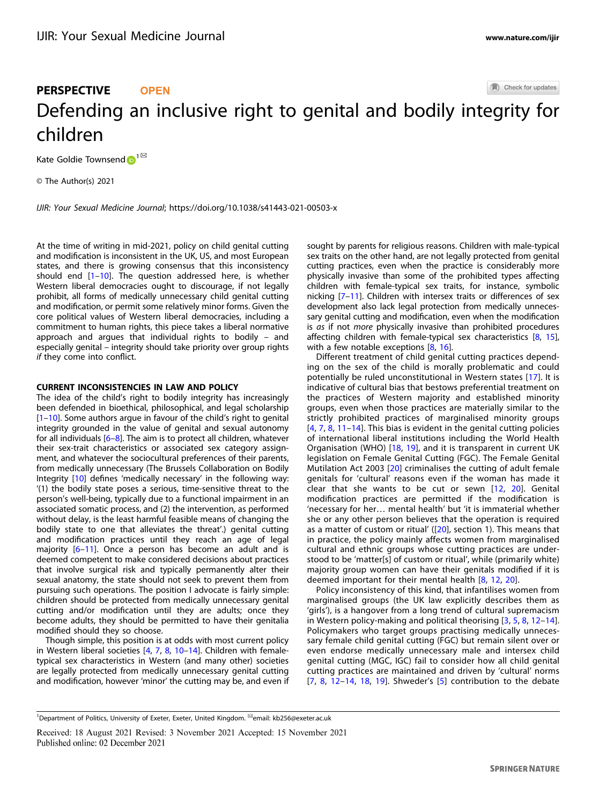#### Check for updates

# PERSPECTIVE **OPEN** Defending an inclusive right to genital and bodily int[e](http://crossmark.crossref.org/dialog/?doi=10.1038/s41443-021-00503-x&domain=pdf)grity for children

Kate Goldie Townsend  $\mathbf{D}^{1^{\boxtimes }}$  $\mathbf{D}^{1^{\boxtimes }}$  $\mathbf{D}^{1^{\boxtimes }}$ 

© The Author(s) 2021

IJIR: Your Sexual Medicine Journal;<https://doi.org/10.1038/s41443-021-00503-x>

At the time of writing in mid-2021, policy on child genital cutting and modification is inconsistent in the UK, US, and most European states, and there is growing consensus that this inconsistency should end  $[1–10]$  $[1–10]$  $[1–10]$  $[1–10]$  $[1–10]$ . The question addressed here, is whether Western liberal democracies ought to discourage, if not legally prohibit, all forms of medically unnecessary child genital cutting and modification, or permit some relatively minor forms. Given the core political values of Western liberal democracies, including a commitment to human rights, this piece takes a liberal normative approach and argues that individual rights to bodily – and especially genital – integrity should take priority over group rights if they come into conflict.

## CURRENT INCONSISTENCIES IN LAW AND POLICY

The idea of the child's right to bodily integrity has increasingly been defended in bioethical, philosophical, and legal scholarship [\[1](#page-2-0)–[10\]](#page-3-0). Some authors argue in favour of the child's right to genital integrity grounded in the value of genital and sexual autonomy for all individuals [\[6](#page-3-0)–[8\]](#page-3-0). The aim is to protect all children, whatever their sex-trait characteristics or associated sex category assignment, and whatever the sociocultural preferences of their parents, from medically unnecessary (The Brussels Collaboration on Bodily Integrity [\[10](#page-3-0)] defines 'medically necessary' in the following way: '(1) the bodily state poses a serious, time-sensitive threat to the person's well-being, typically due to a functional impairment in an associated somatic process, and (2) the intervention, as performed without delay, is the least harmful feasible means of changing the bodily state to one that alleviates the threat'.) genital cutting and modification practices until they reach an age of legal majority [\[6](#page-3-0)–[11\]](#page-3-0). Once a person has become an adult and is deemed competent to make considered decisions about practices that involve surgical risk and typically permanently alter their sexual anatomy, the state should not seek to prevent them from pursuing such operations. The position I advocate is fairly simple: children should be protected from medically unnecessary genital cutting and/or modification until they are adults; once they become adults, they should be permitted to have their genitalia modified should they so choose.

Though simple, this position is at odds with most current policy in Western liberal societies [\[4,](#page-3-0) [7](#page-3-0), [8,](#page-3-0) [10](#page-3-0)–[14](#page-3-0)]. Children with femaletypical sex characteristics in Western (and many other) societies are legally protected from medically unnecessary genital cutting and modification, however 'minor' the cutting may be, and even if sought by parents for religious reasons. Children with male-typical sex traits on the other hand, are not legally protected from genital cutting practices, even when the practice is considerably more physically invasive than some of the prohibited types affecting children with female-typical sex traits, for instance, symbolic nicking [\[7](#page-3-0)–[11](#page-3-0)]. Children with intersex traits or differences of sex development also lack legal protection from medically unnecessary genital cutting and modification, even when the modification is *as* if not *more* physically invasive than prohibited procedures affecting children with female-typical sex characteristics [\[8,](#page-3-0) [15\]](#page-3-0), with a few notable exceptions  $[8, 16]$  $[8, 16]$  $[8, 16]$  $[8, 16]$  $[8, 16]$ .

Different treatment of child genital cutting practices depending on the sex of the child is morally problematic and could potentially be ruled unconstitutional in Western states [\[17\]](#page-3-0). It is indicative of cultural bias that bestows preferential treatment on the practices of Western majority and established minority groups, even when those practices are materially similar to the strictly prohibited practices of marginalised minority groups [\[4](#page-3-0), [7](#page-3-0), [8](#page-3-0), [11](#page-3-0)–[14\]](#page-3-0). This bias is evident in the genital cutting policies of international liberal institutions including the World Health Organisation (WHO) [[18](#page-3-0), [19\]](#page-3-0), and it is transparent in current UK legislation on Female Genital Cutting (FGC). The Female Genital Mutilation Act 2003 [\[20\]](#page-3-0) criminalises the cutting of adult female genitals for 'cultural' reasons even if the woman has made it clear that she wants to be cut or sewn [[12,](#page-3-0) [20](#page-3-0)]. Genital modification practices are permitted if the modification is 'necessary for her… mental health' but 'it is immaterial whether she or any other person believes that the operation is required as a matter of custom or ritual' ([[20](#page-3-0)], section 1). This means that in practice, the policy mainly affects women from marginalised cultural and ethnic groups whose cutting practices are understood to be 'matter[s] of custom or ritual', while (primarily white) majority group women can have their genitals modified if it is deemed important for their mental health [[8,](#page-3-0) [12,](#page-3-0) [20](#page-3-0)].

Policy inconsistency of this kind, that infantilises women from marginalised groups (the UK law explicitly describes them as 'girls'), is a hangover from a long trend of cultural supremacism in Western policy-making and political theorising [[3](#page-3-0), [5](#page-3-0), [8,](#page-3-0) [12](#page-3-0)–[14](#page-3-0)]. Policymakers who target groups practising medically unnecessary female child genital cutting (FGC) but remain silent over or even endorse medically unnecessary male and intersex child genital cutting (MGC, IGC) fail to consider how all child genital cutting practices are maintained and driven by 'cultural' norms [\[7](#page-3-0), [8,](#page-3-0) [12](#page-3-0)–[14,](#page-3-0) [18,](#page-3-0) [19](#page-3-0)]. Shweder's [\[5](#page-3-0)] contribution to the debate

<sup>&</sup>lt;sup>1</sup>Department of Politics, University of Exeter, Exeter, United Kingdom. <sup>⊠</sup>email: [kb256@exeter.ac.uk](mailto:kb256@exeter.ac.uk)

Received: 18 August 2021 Revised: 3 November 2021 Accepted: 15 November 2021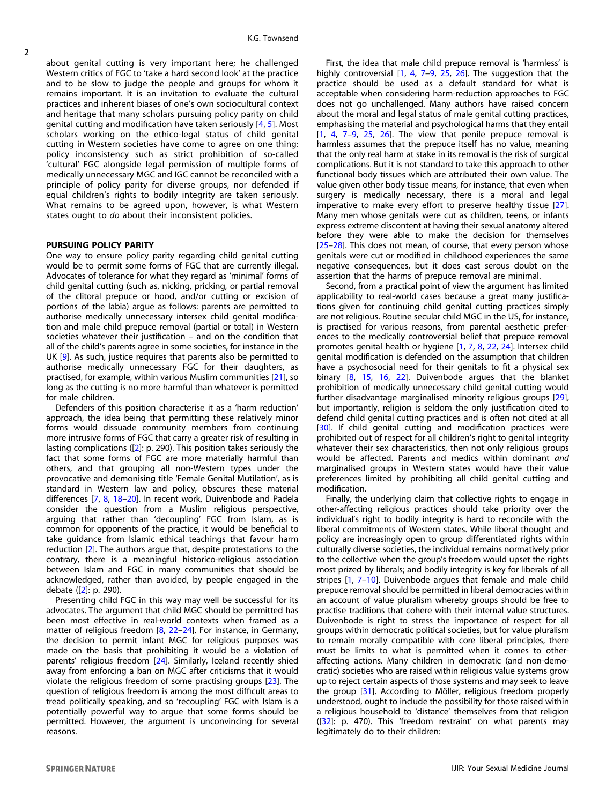$\overline{2}$ 

about genital cutting is very important here; he challenged Western critics of FGC to 'take a hard second look' at the practice and to be slow to judge the people and groups for whom it remains important. It is an invitation to evaluate the cultural practices and inherent biases of one's own sociocultural context and heritage that many scholars pursuing policy parity on child genital cutting and modification have taken seriously [\[4](#page-3-0), [5\]](#page-3-0). Most scholars working on the ethico-legal status of child genital cutting in Western societies have come to agree on one thing: policy inconsistency such as strict prohibition of so-called 'cultural' FGC alongside legal permission of multiple forms of medically unnecessary MGC and IGC cannot be reconciled with a principle of policy parity for diverse groups, nor defended if equal children's rights to bodily integrity are taken seriously. What remains to be agreed upon, however, is what Western states ought to do about their inconsistent policies.

#### PURSUING POLICY PARITY

One way to ensure policy parity regarding child genital cutting would be to permit some forms of FGC that are currently illegal. Advocates of tolerance for what they regard as 'minimal' forms of child genital cutting (such as, nicking, pricking, or partial removal of the clitoral prepuce or hood, and/or cutting or excision of portions of the labia) argue as follows: parents are permitted to authorise medically unnecessary intersex child genital modification and male child prepuce removal (partial or total) in Western societies whatever their justification – and on the condition that all of the child's parents agree in some societies, for instance in the UK [\[9\]](#page-3-0). As such, justice requires that parents also be permitted to authorise medically unnecessary FGC for their daughters, as practised, for example, within various Muslim communities [\[21\]](#page-3-0), so long as the cutting is no more harmful than whatever is permitted for male children.

Defenders of this position characterise it as a 'harm reduction' approach, the idea being that permitting these relatively minor forms would dissuade community members from continuing more intrusive forms of FGC that carry a greater risk of resulting in lasting complications ([\[2\]](#page-3-0): p. 290). This position takes seriously the fact that some forms of FGC are more materially harmful than others, and that grouping all non-Western types under the provocative and demonising title 'Female Genital Mutilation', as is standard in Western law and policy, obscures these material differences [\[7,](#page-3-0) [8](#page-3-0), [18](#page-3-0)–[20](#page-3-0)]. In recent work, Duivenbode and Padela consider the question from a Muslim religious perspective, arguing that rather than 'decoupling' FGC from Islam, as is common for opponents of the practice, it would be beneficial to take guidance from Islamic ethical teachings that favour harm reduction [[2](#page-3-0)]. The authors argue that, despite protestations to the contrary, there is a meaningful historico-religious association between Islam and FGC in many communities that should be acknowledged, rather than avoided, by people engaged in the debate ([[2](#page-3-0)]: p. 290).

Presenting child FGC in this way may well be successful for its advocates. The argument that child MGC should be permitted has been most effective in real-world contexts when framed as a matter of religious freedom [\[8,](#page-3-0) [22](#page-3-0)–[24\]](#page-3-0). For instance, in Germany, the decision to permit infant MGC for religious purposes was made on the basis that prohibiting it would be a violation of parents' religious freedom [[24\]](#page-3-0). Similarly, Iceland recently shied away from enforcing a ban on MGC after criticisms that it would violate the religious freedom of some practising groups [\[23](#page-3-0)]. The question of religious freedom is among the most difficult areas to tread politically speaking, and so 'recoupling' FGC with Islam is a potentially powerful way to argue that some forms should be permitted. However, the argument is unconvincing for several reasons.

First, the idea that male child prepuce removal is 'harmless' is highly controversial [\[1,](#page-2-0) [4,](#page-3-0) [7](#page-3-0)-[9](#page-3-0), [25](#page-3-0), [26](#page-3-0)]. The suggestion that the practice should be used as a default standard for what is acceptable when considering harm-reduction approaches to FGC does not go unchallenged. Many authors have raised concern about the moral and legal status of male genital cutting practices, emphasising the material and psychological harms that they entail  $[1, 4, 7-9, 25, 26]$  $[1, 4, 7-9, 25, 26]$  $[1, 4, 7-9, 25, 26]$  $[1, 4, 7-9, 25, 26]$  $[1, 4, 7-9, 25, 26]$  $[1, 4, 7-9, 25, 26]$  $[1, 4, 7-9, 25, 26]$  $[1, 4, 7-9, 25, 26]$  $[1, 4, 7-9, 25, 26]$  $[1, 4, 7-9, 25, 26]$  $[1, 4, 7-9, 25, 26]$  $[1, 4, 7-9, 25, 26]$ . The view that penile prepuce removal is harmless assumes that the prepuce itself has no value, meaning that the only real harm at stake in its removal is the risk of surgical complications. But it is not standard to take this approach to other functional body tissues which are attributed their own value. The value given other body tissue means, for instance, that even when surgery is medically necessary, there is a moral and legal imperative to make every effort to preserve healthy tissue [[27](#page-3-0)]. Many men whose genitals were cut as children, teens, or infants express extreme discontent at having their sexual anatomy altered before they were able to make the decision for themselves [[25](#page-3-0)–[28\]](#page-3-0). This does not mean, of course, that every person whose genitals were cut or modified in childhood experiences the same negative consequences, but it does cast serous doubt on the assertion that the harms of prepuce removal are minimal.

Second, from a practical point of view the argument has limited applicability to real-world cases because a great many justifications given for continuing child genital cutting practices simply are not religious. Routine secular child MGC in the US, for instance, is practised for various reasons, from parental aesthetic preferences to the medically controversial belief that prepuce removal promotes genital health or hygiene [\[1,](#page-2-0) [7](#page-3-0), [8](#page-3-0), [22](#page-3-0), [24\]](#page-3-0). Intersex child genital modification is defended on the assumption that children have a psychosocial need for their genitals to fit a physical sex binary [\[8,](#page-3-0) [15,](#page-3-0) [16,](#page-3-0) [22\]](#page-3-0). Duivenbode argues that the blanket prohibition of medically unnecessary child genital cutting would further disadvantage marginalised minority religious groups [[29](#page-3-0)], but importantly, religion is seldom the only justification cited to defend child genital cutting practices and is often not cited at all [[30\]](#page-3-0). If child genital cutting and modification practices were prohibited out of respect for all children's right to genital integrity whatever their sex characteristics, then not only religious groups would be affected. Parents and medics within dominant and marginalised groups in Western states would have their value preferences limited by prohibiting all child genital cutting and modification.

Finally, the underlying claim that collective rights to engage in other-affecting religious practices should take priority over the individual's right to bodily integrity is hard to reconcile with the liberal commitments of Western states. While liberal thought and policy are increasingly open to group differentiated rights within culturally diverse societies, the individual remains normatively prior to the collective when the group's freedom would upset the rights most prized by liberals; and bodily integrity is key for liberals of all stripes [[1](#page-2-0), [7](#page-3-0)–[10](#page-3-0)]. Duivenbode argues that female and male child prepuce removal should be permitted in liberal democracies within an account of value pluralism whereby groups should be free to practise traditions that cohere with their internal value structures. Duivenbode is right to stress the importance of respect for all groups within democratic political societies, but for value pluralism to remain morally compatible with core liberal principles, there must be limits to what is permitted when it comes to otheraffecting actions. Many children in democratic (and non-democratic) societies who are raised within religious value systems grow up to reject certain aspects of those systems and may seek to leave the group [[31\]](#page-3-0). According to Möller, religious freedom properly understood, ought to include the possibility for those raised within a religious household to 'distance' themselves from that religion ([\[32](#page-3-0)]: p. 470). This 'freedom restraint' on what parents may legitimately do to their children: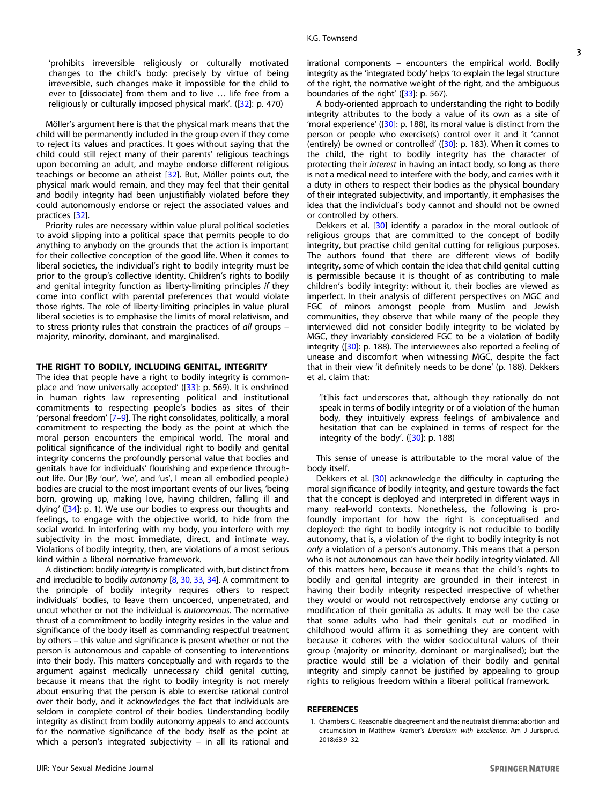<span id="page-2-0"></span>'prohibits irreversible religiously or culturally motivated changes to the child's body: precisely by virtue of being irreversible, such changes make it impossible for the child to ever to [dissociate] from them and to live … life free from a religiously or culturally imposed physical mark'. ([[32\]](#page-3-0): p. 470)

Möller's argument here is that the physical mark means that the child will be permanently included in the group even if they come to reject its values and practices. It goes without saying that the child could still reject many of their parents' religious teachings upon becoming an adult, and maybe endorse different religious teachings or become an atheist [[32\]](#page-3-0). But, Möller points out, the physical mark would remain, and they may feel that their genital and bodily integrity had been unjustifiably violated before they could autonomously endorse or reject the associated values and practices [[32\]](#page-3-0).

Priority rules are necessary within value plural political societies to avoid slipping into a political space that permits people to do anything to anybody on the grounds that the action is important for their collective conception of the good life. When it comes to liberal societies, the individual's right to bodily integrity must be prior to the group's collective identity. Children's rights to bodily and genital integrity function as liberty-limiting principles if they come into conflict with parental preferences that would violate those rights. The role of liberty-limiting principles in value plural liberal societies is to emphasise the limits of moral relativism, and to stress priority rules that constrain the practices of all groups – majority, minority, dominant, and marginalised.

## THE RIGHT TO BODILY, INCLUDING GENITAL, INTEGRITY

The idea that people have a right to bodily integrity is common-place and 'now universally accepted' ([\[33](#page-3-0)]: p. 569). It is enshrined in human rights law representing political and institutional commitments to respecting people's bodies as sites of their 'personal freedom' [\[7](#page-3-0)–[9\]](#page-3-0). The right consolidates, politically, a moral commitment to respecting the body as the point at which the moral person encounters the empirical world. The moral and political significance of the individual right to bodily and genital integrity concerns the profoundly personal value that bodies and genitals have for individuals' flourishing and experience throughout life. Our (By 'our', 'we', and 'us', I mean all embodied people.) bodies are crucial to the most important events of our lives, 'being born, growing up, making love, having children, falling ill and dying' ([[34\]](#page-3-0): p. 1). We use our bodies to express our thoughts and feelings, to engage with the objective world, to hide from the social world. In interfering with my body, you interfere with my subjectivity in the most immediate, direct, and intimate way. Violations of bodily integrity, then, are violations of a most serious kind within a liberal normative framework.

A distinction: bodily integrity is complicated with, but distinct from and irreducible to bodily autonomy [\[8](#page-3-0), [30](#page-3-0), [33](#page-3-0), [34](#page-3-0)]. A commitment to the principle of bodily integrity requires others to respect individuals' bodies, to leave them uncoerced, unpenetrated, and uncut whether or not the individual is autonomous. The normative thrust of a commitment to bodily integrity resides in the value and significance of the body itself as commanding respectful treatment by others – this value and significance is present whether or not the person is autonomous and capable of consenting to interventions into their body. This matters conceptually and with regards to the argument against medically unnecessary child genital cutting, because it means that the right to bodily integrity is not merely about ensuring that the person is able to exercise rational control over their body, and it acknowledges the fact that individuals are seldom in complete control of their bodies. Understanding bodily integrity as distinct from bodily autonomy appeals to and accounts for the normative significance of the body itself as the point at which a person's integrated subjectivity – in all its rational and

A body-oriented approach to understanding the right to bodily integrity attributes to the body a value of its own as a site of 'moral experience' ([[30\]](#page-3-0): p. 188), its moral value is distinct from the person or people who exercise(s) control over it and it 'cannot (entirely) be owned or controlled' ([\[30\]](#page-3-0): p. 183). When it comes to the child, the right to bodily integrity has the character of protecting their interest in having an intact body, so long as there is not a medical need to interfere with the body, and carries with it a duty in others to respect their bodies as the physical boundary of their integrated subjectivity, and importantly, it emphasises the idea that the individual's body cannot and should not be owned or controlled by others.

Dekkers et al. [\[30\]](#page-3-0) identify a paradox in the moral outlook of religious groups that are committed to the concept of bodily integrity, but practise child genital cutting for religious purposes. The authors found that there are different views of bodily integrity, some of which contain the idea that child genital cutting is permissible because it is thought of as contributing to male children's bodily integrity: without it, their bodies are viewed as imperfect. In their analysis of different perspectives on MGC and FGC of minors amongst people from Muslim and Jewish communities, they observe that while many of the people they interviewed did not consider bodily integrity to be violated by MGC, they invariably considered FGC to be a violation of bodily integrity ([\[30](#page-3-0)]: p. 188). The interviewees also reported a feeling of unease and discomfort when witnessing MGC, despite the fact that in their view 'it definitely needs to be done' (p. 188). Dekkers et al. claim that:

'[t]his fact underscores that, although they rationally do not speak in terms of bodily integrity or of a violation of the human body, they intuitively express feelings of ambivalence and hesitation that can be explained in terms of respect for the integrity of the body'. ([[30\]](#page-3-0): p. 188)

This sense of unease is attributable to the moral value of the body itself.

Dekkers et al. [[30\]](#page-3-0) acknowledge the difficulty in capturing the moral significance of bodily integrity, and gesture towards the fact that the concept is deployed and interpreted in different ways in many real-world contexts. Nonetheless, the following is profoundly important for how the right is conceptualised and deployed: the right to bodily integrity is not reducible to bodily autonomy, that is, a violation of the right to bodily integrity is not only a violation of a person's autonomy. This means that a person who is not autonomous can have their bodily integrity violated. All of this matters here, because it means that the child's rights to bodily and genital integrity are grounded in their interest in having their bodily integrity respected irrespective of whether they would or would not retrospectively endorse any cutting or modification of their genitalia as adults. It may well be the case that some adults who had their genitals cut or modified in childhood would affirm it as something they are content with because it coheres with the wider sociocultural values of their group (majority or minority, dominant or marginalised); but the practice would still be a violation of their bodily and genital integrity and simply cannot be justified by appealing to group rights to religious freedom within a liberal political framework.

## REFERENCES

1. Chambers C. Reasonable disagreement and the neutralist dilemma: abortion and circumcision in Matthew Kramer's Liberalism with Excellence. Am J Jurisprud. 2018;63:9–32.